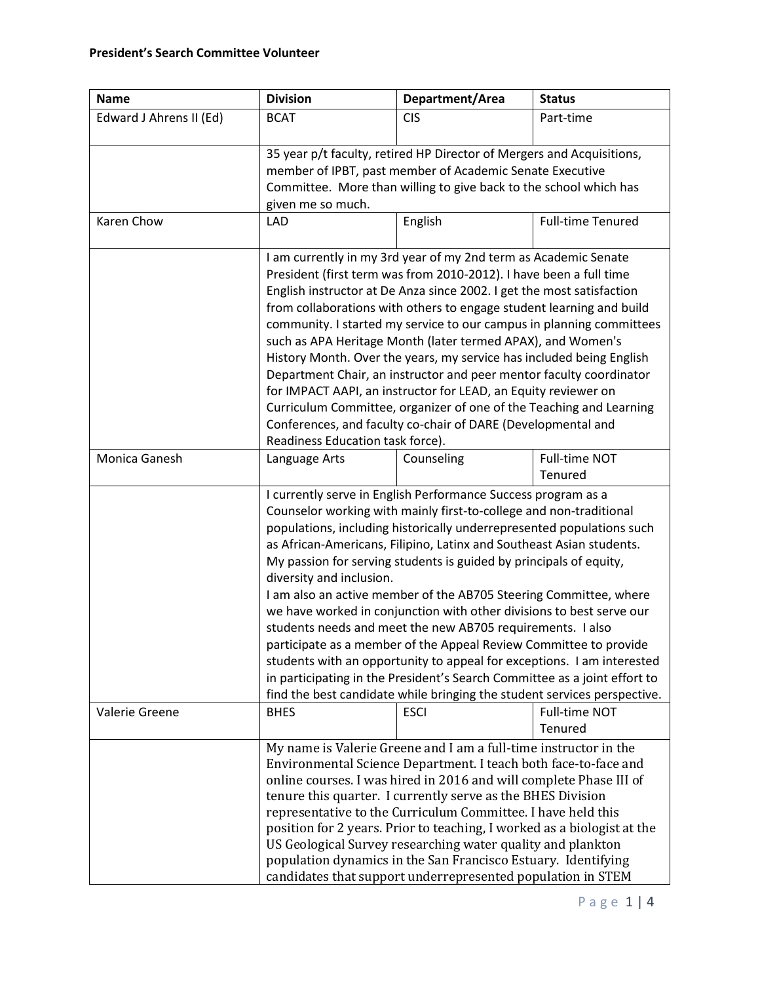| <b>Name</b>             | <b>Division</b>                                                                                                                                                                                                                                                                                                                                                                                                                                                                                                                                                                                                                                                                                                                                                                                                                                                                                           | Department/Area | <b>Status</b>            |  |
|-------------------------|-----------------------------------------------------------------------------------------------------------------------------------------------------------------------------------------------------------------------------------------------------------------------------------------------------------------------------------------------------------------------------------------------------------------------------------------------------------------------------------------------------------------------------------------------------------------------------------------------------------------------------------------------------------------------------------------------------------------------------------------------------------------------------------------------------------------------------------------------------------------------------------------------------------|-----------------|--------------------------|--|
| Edward J Ahrens II (Ed) | <b>BCAT</b>                                                                                                                                                                                                                                                                                                                                                                                                                                                                                                                                                                                                                                                                                                                                                                                                                                                                                               | <b>CIS</b>      | Part-time                |  |
|                         | 35 year p/t faculty, retired HP Director of Mergers and Acquisitions,<br>member of IPBT, past member of Academic Senate Executive<br>Committee. More than willing to give back to the school which has<br>given me so much.                                                                                                                                                                                                                                                                                                                                                                                                                                                                                                                                                                                                                                                                               |                 |                          |  |
| Karen Chow              | <b>LAD</b>                                                                                                                                                                                                                                                                                                                                                                                                                                                                                                                                                                                                                                                                                                                                                                                                                                                                                                | English         | <b>Full-time Tenured</b> |  |
|                         | I am currently in my 3rd year of my 2nd term as Academic Senate<br>President (first term was from 2010-2012). I have been a full time<br>English instructor at De Anza since 2002. I get the most satisfaction<br>from collaborations with others to engage student learning and build<br>community. I started my service to our campus in planning committees<br>such as APA Heritage Month (later termed APAX), and Women's<br>History Month. Over the years, my service has included being English<br>Department Chair, an instructor and peer mentor faculty coordinator<br>for IMPACT AAPI, an instructor for LEAD, an Equity reviewer on<br>Curriculum Committee, organizer of one of the Teaching and Learning<br>Conferences, and faculty co-chair of DARE (Developmental and<br>Readiness Education task force).                                                                                 |                 |                          |  |
| Monica Ganesh           | Language Arts                                                                                                                                                                                                                                                                                                                                                                                                                                                                                                                                                                                                                                                                                                                                                                                                                                                                                             | Counseling      | Full-time NOT<br>Tenured |  |
|                         | I currently serve in English Performance Success program as a<br>Counselor working with mainly first-to-college and non-traditional<br>populations, including historically underrepresented populations such<br>as African-Americans, Filipino, Latinx and Southeast Asian students.<br>My passion for serving students is guided by principals of equity,<br>diversity and inclusion.<br>I am also an active member of the AB705 Steering Committee, where<br>we have worked in conjunction with other divisions to best serve our<br>students needs and meet the new AB705 requirements. I also<br>participate as a member of the Appeal Review Committee to provide<br>students with an opportunity to appeal for exceptions. I am interested<br>in participating in the President's Search Committee as a joint effort to<br>find the best candidate while bringing the student services perspective. |                 |                          |  |
| Valerie Greene          | <b>BHES</b>                                                                                                                                                                                                                                                                                                                                                                                                                                                                                                                                                                                                                                                                                                                                                                                                                                                                                               | <b>ESCI</b>     | Full-time NOT<br>Tenured |  |
|                         | My name is Valerie Greene and I am a full-time instructor in the<br>Environmental Science Department. I teach both face-to-face and<br>online courses. I was hired in 2016 and will complete Phase III of<br>tenure this quarter. I currently serve as the BHES Division<br>representative to the Curriculum Committee. I have held this<br>position for 2 years. Prior to teaching, I worked as a biologist at the<br>US Geological Survey researching water quality and plankton<br>population dynamics in the San Francisco Estuary. Identifying<br>candidates that support underrepresented population in STEM                                                                                                                                                                                                                                                                                        |                 |                          |  |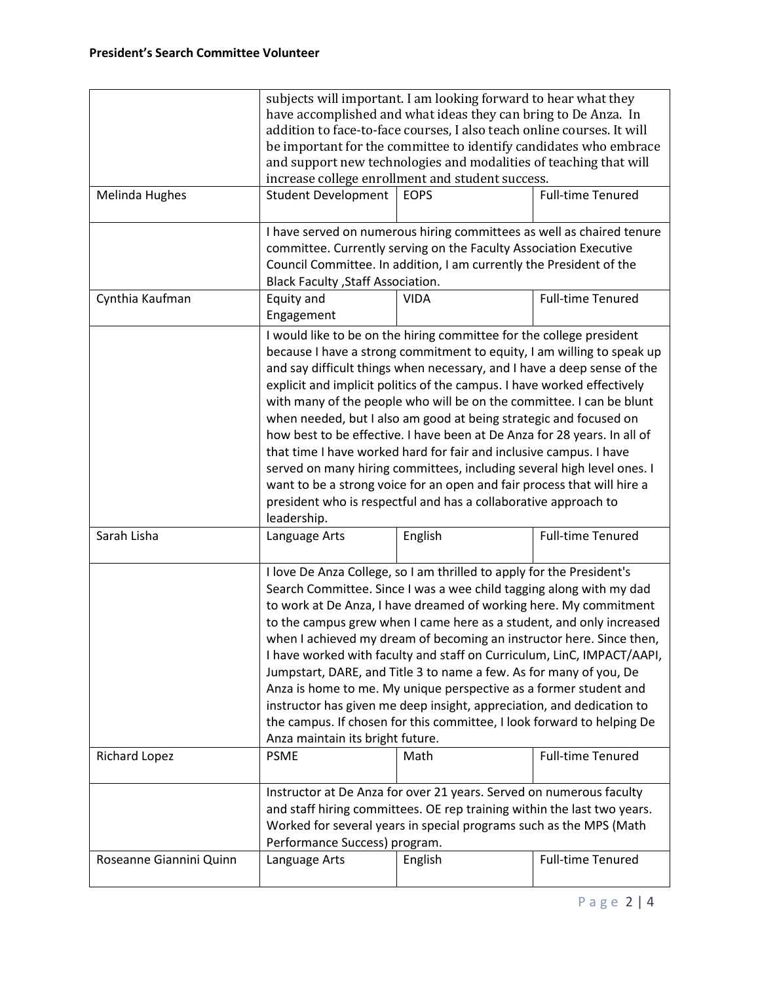|                         | subjects will important. I am looking forward to hear what they                                                                                                                                                                                         |                                                                         |                          |  |  |
|-------------------------|---------------------------------------------------------------------------------------------------------------------------------------------------------------------------------------------------------------------------------------------------------|-------------------------------------------------------------------------|--------------------------|--|--|
|                         | have accomplished and what ideas they can bring to De Anza. In                                                                                                                                                                                          |                                                                         |                          |  |  |
|                         | addition to face-to-face courses, I also teach online courses. It will                                                                                                                                                                                  |                                                                         |                          |  |  |
|                         | be important for the committee to identify candidates who embrace<br>and support new technologies and modalities of teaching that will                                                                                                                  |                                                                         |                          |  |  |
|                         |                                                                                                                                                                                                                                                         |                                                                         |                          |  |  |
|                         | increase college enrollment and student success.                                                                                                                                                                                                        |                                                                         |                          |  |  |
| Melinda Hughes          | <b>Student Development</b>                                                                                                                                                                                                                              | <b>EOPS</b>                                                             | <b>Full-time Tenured</b> |  |  |
|                         |                                                                                                                                                                                                                                                         |                                                                         |                          |  |  |
|                         | I have served on numerous hiring committees as well as chaired tenure<br>committee. Currently serving on the Faculty Association Executive<br>Council Committee. In addition, I am currently the President of the<br>Black Faculty , Staff Association. |                                                                         |                          |  |  |
|                         |                                                                                                                                                                                                                                                         |                                                                         |                          |  |  |
|                         |                                                                                                                                                                                                                                                         |                                                                         |                          |  |  |
|                         |                                                                                                                                                                                                                                                         |                                                                         |                          |  |  |
| Cynthia Kaufman         | Equity and                                                                                                                                                                                                                                              | <b>VIDA</b>                                                             | <b>Full-time Tenured</b> |  |  |
|                         | Engagement                                                                                                                                                                                                                                              |                                                                         |                          |  |  |
|                         |                                                                                                                                                                                                                                                         | I would like to be on the hiring committee for the college president    |                          |  |  |
|                         |                                                                                                                                                                                                                                                         | because I have a strong commitment to equity, I am willing to speak up  |                          |  |  |
|                         |                                                                                                                                                                                                                                                         |                                                                         |                          |  |  |
|                         |                                                                                                                                                                                                                                                         | and say difficult things when necessary, and I have a deep sense of the |                          |  |  |
|                         |                                                                                                                                                                                                                                                         | explicit and implicit politics of the campus. I have worked effectively |                          |  |  |
|                         | with many of the people who will be on the committee. I can be blunt<br>when needed, but I also am good at being strategic and focused on<br>how best to be effective. I have been at De Anza for 28 years. In all of                                   |                                                                         |                          |  |  |
|                         |                                                                                                                                                                                                                                                         |                                                                         |                          |  |  |
|                         |                                                                                                                                                                                                                                                         |                                                                         |                          |  |  |
|                         |                                                                                                                                                                                                                                                         | that time I have worked hard for fair and inclusive campus. I have      |                          |  |  |
|                         |                                                                                                                                                                                                                                                         | served on many hiring committees, including several high level ones. I  |                          |  |  |
|                         | want to be a strong voice for an open and fair process that will hire a                                                                                                                                                                                 |                                                                         |                          |  |  |
|                         | president who is respectful and has a collaborative approach to                                                                                                                                                                                         |                                                                         |                          |  |  |
|                         | leadership.                                                                                                                                                                                                                                             |                                                                         |                          |  |  |
| Sarah Lisha             | Language Arts                                                                                                                                                                                                                                           | English                                                                 | <b>Full-time Tenured</b> |  |  |
|                         |                                                                                                                                                                                                                                                         |                                                                         |                          |  |  |
|                         |                                                                                                                                                                                                                                                         | I love De Anza College, so I am thrilled to apply for the President's   |                          |  |  |
|                         |                                                                                                                                                                                                                                                         | Search Committee. Since I was a wee child tagging along with my dad     |                          |  |  |
|                         |                                                                                                                                                                                                                                                         | to work at De Anza, I have dreamed of working here. My commitment       |                          |  |  |
|                         |                                                                                                                                                                                                                                                         | to the campus grew when I came here as a student, and only increased    |                          |  |  |
|                         |                                                                                                                                                                                                                                                         | when I achieved my dream of becoming an instructor here. Since then,    |                          |  |  |
|                         |                                                                                                                                                                                                                                                         | I have worked with faculty and staff on Curriculum, LinC, IMPACT/AAPI,  |                          |  |  |
|                         |                                                                                                                                                                                                                                                         | Jumpstart, DARE, and Title 3 to name a few. As for many of you, De      |                          |  |  |
|                         |                                                                                                                                                                                                                                                         | Anza is home to me. My unique perspective as a former student and       |                          |  |  |
|                         |                                                                                                                                                                                                                                                         | instructor has given me deep insight, appreciation, and dedication to   |                          |  |  |
|                         | the campus. If chosen for this committee, I look forward to helping De                                                                                                                                                                                  |                                                                         |                          |  |  |
|                         | Anza maintain its bright future.                                                                                                                                                                                                                        |                                                                         |                          |  |  |
| <b>Richard Lopez</b>    | <b>PSME</b>                                                                                                                                                                                                                                             | Math                                                                    | <b>Full-time Tenured</b> |  |  |
|                         |                                                                                                                                                                                                                                                         |                                                                         |                          |  |  |
|                         |                                                                                                                                                                                                                                                         | Instructor at De Anza for over 21 years. Served on numerous faculty     |                          |  |  |
|                         |                                                                                                                                                                                                                                                         | and staff hiring committees. OE rep training within the last two years. |                          |  |  |
|                         | Worked for several years in special programs such as the MPS (Math                                                                                                                                                                                      |                                                                         |                          |  |  |
|                         |                                                                                                                                                                                                                                                         |                                                                         |                          |  |  |
| Roseanne Giannini Quinn | Performance Success) program.<br>Language Arts                                                                                                                                                                                                          | English                                                                 | <b>Full-time Tenured</b> |  |  |
|                         |                                                                                                                                                                                                                                                         |                                                                         |                          |  |  |
|                         |                                                                                                                                                                                                                                                         |                                                                         |                          |  |  |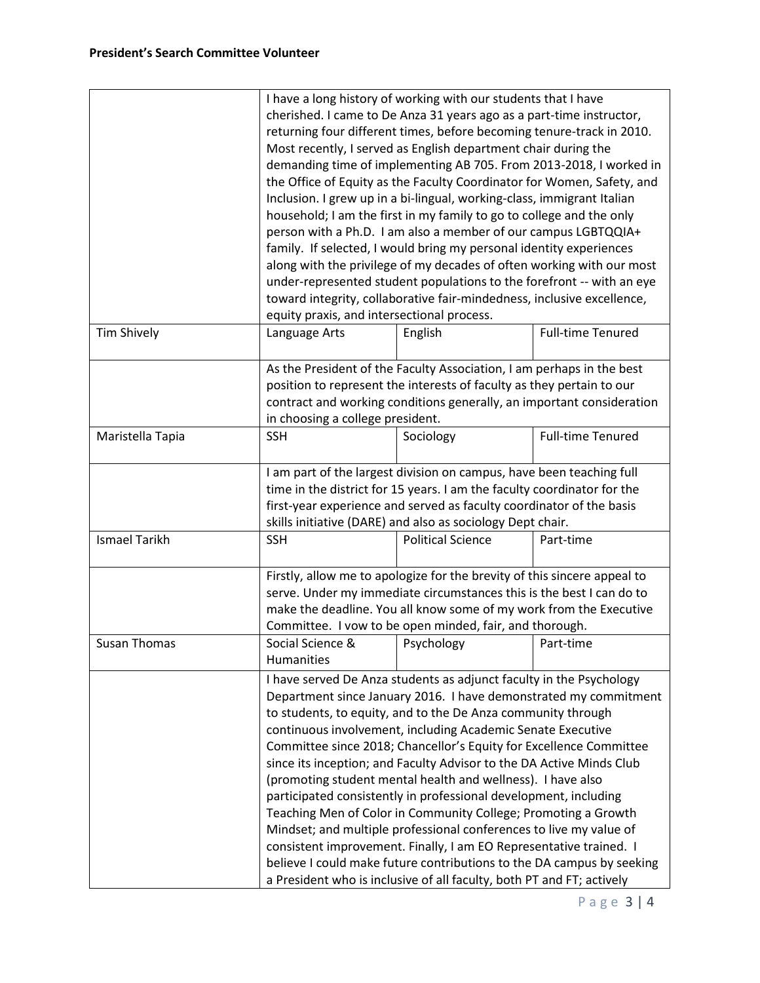|                      |                                                                                                           | I have a long history of working with our students that I have<br>cherished. I came to De Anza 31 years ago as a part-time instructor,<br>returning four different times, before becoming tenure-track in 2010.<br>Most recently, I served as English department chair during the<br>demanding time of implementing AB 705. From 2013-2018, I worked in<br>the Office of Equity as the Faculty Coordinator for Women, Safety, and<br>Inclusion. I grew up in a bi-lingual, working-class, immigrant Italian<br>household; I am the first in my family to go to college and the only                                                                                                                                                                                                                                                                                                                                     |                          |  |  |
|----------------------|-----------------------------------------------------------------------------------------------------------|-------------------------------------------------------------------------------------------------------------------------------------------------------------------------------------------------------------------------------------------------------------------------------------------------------------------------------------------------------------------------------------------------------------------------------------------------------------------------------------------------------------------------------------------------------------------------------------------------------------------------------------------------------------------------------------------------------------------------------------------------------------------------------------------------------------------------------------------------------------------------------------------------------------------------|--------------------------|--|--|
|                      |                                                                                                           | person with a Ph.D. I am also a member of our campus LGBTQQIA+<br>family. If selected, I would bring my personal identity experiences<br>along with the privilege of my decades of often working with our most<br>under-represented student populations to the forefront -- with an eye                                                                                                                                                                                                                                                                                                                                                                                                                                                                                                                                                                                                                                 |                          |  |  |
|                      |                                                                                                           |                                                                                                                                                                                                                                                                                                                                                                                                                                                                                                                                                                                                                                                                                                                                                                                                                                                                                                                         |                          |  |  |
|                      |                                                                                                           |                                                                                                                                                                                                                                                                                                                                                                                                                                                                                                                                                                                                                                                                                                                                                                                                                                                                                                                         |                          |  |  |
|                      |                                                                                                           | toward integrity, collaborative fair-mindedness, inclusive excellence,                                                                                                                                                                                                                                                                                                                                                                                                                                                                                                                                                                                                                                                                                                                                                                                                                                                  |                          |  |  |
|                      |                                                                                                           | equity praxis, and intersectional process.                                                                                                                                                                                                                                                                                                                                                                                                                                                                                                                                                                                                                                                                                                                                                                                                                                                                              |                          |  |  |
| <b>Tim Shively</b>   | Language Arts                                                                                             | English                                                                                                                                                                                                                                                                                                                                                                                                                                                                                                                                                                                                                                                                                                                                                                                                                                                                                                                 | <b>Full-time Tenured</b> |  |  |
|                      |                                                                                                           | As the President of the Faculty Association, I am perhaps in the best<br>position to represent the interests of faculty as they pertain to our                                                                                                                                                                                                                                                                                                                                                                                                                                                                                                                                                                                                                                                                                                                                                                          |                          |  |  |
|                      |                                                                                                           |                                                                                                                                                                                                                                                                                                                                                                                                                                                                                                                                                                                                                                                                                                                                                                                                                                                                                                                         |                          |  |  |
|                      | contract and working conditions generally, an important consideration<br>in choosing a college president. |                                                                                                                                                                                                                                                                                                                                                                                                                                                                                                                                                                                                                                                                                                                                                                                                                                                                                                                         |                          |  |  |
| Maristella Tapia     | <b>SSH</b>                                                                                                | Sociology                                                                                                                                                                                                                                                                                                                                                                                                                                                                                                                                                                                                                                                                                                                                                                                                                                                                                                               | <b>Full-time Tenured</b> |  |  |
|                      |                                                                                                           |                                                                                                                                                                                                                                                                                                                                                                                                                                                                                                                                                                                                                                                                                                                                                                                                                                                                                                                         |                          |  |  |
|                      |                                                                                                           | I am part of the largest division on campus, have been teaching full<br>time in the district for 15 years. I am the faculty coordinator for the<br>first-year experience and served as faculty coordinator of the basis<br>skills initiative (DARE) and also as sociology Dept chair.                                                                                                                                                                                                                                                                                                                                                                                                                                                                                                                                                                                                                                   |                          |  |  |
| <b>Ismael Tarikh</b> | <b>SSH</b>                                                                                                | <b>Political Science</b>                                                                                                                                                                                                                                                                                                                                                                                                                                                                                                                                                                                                                                                                                                                                                                                                                                                                                                | Part-time                |  |  |
|                      |                                                                                                           | Firstly, allow me to apologize for the brevity of this sincere appeal to<br>serve. Under my immediate circumstances this is the best I can do to<br>make the deadline. You all know some of my work from the Executive<br>Committee. I vow to be open minded, fair, and thorough.                                                                                                                                                                                                                                                                                                                                                                                                                                                                                                                                                                                                                                       |                          |  |  |
| Susan Thomas         | Social Science &<br>Humanities                                                                            | Psychology                                                                                                                                                                                                                                                                                                                                                                                                                                                                                                                                                                                                                                                                                                                                                                                                                                                                                                              | Part-time                |  |  |
|                      |                                                                                                           | I have served De Anza students as adjunct faculty in the Psychology<br>Department since January 2016. I have demonstrated my commitment<br>to students, to equity, and to the De Anza community through<br>continuous involvement, including Academic Senate Executive<br>Committee since 2018; Chancellor's Equity for Excellence Committee<br>since its inception; and Faculty Advisor to the DA Active Minds Club<br>(promoting student mental health and wellness). I have also<br>participated consistently in professional development, including<br>Teaching Men of Color in Community College; Promoting a Growth<br>Mindset; and multiple professional conferences to live my value of<br>consistent improvement. Finally, I am EO Representative trained. I<br>believe I could make future contributions to the DA campus by seeking<br>a President who is inclusive of all faculty, both PT and FT; actively |                          |  |  |